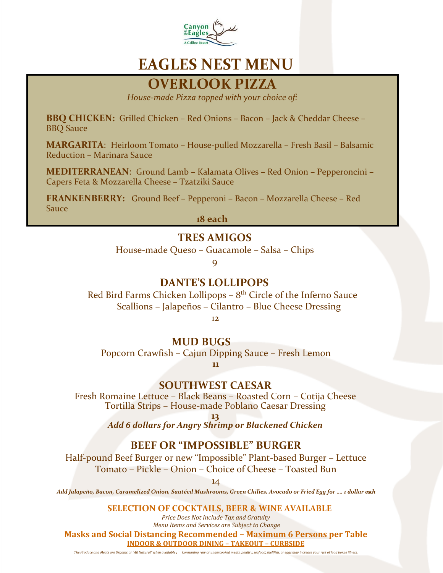

# **EAGLES NEST MENU**

# **OVERLOOK PIZZA**

*House-made Pizza topped with your choice of:*

**BBQ CHICKEN:** Grilled Chicken – Red Onions – Bacon – Jack & Cheddar Cheese – BBQ Sauce

**MARGARITA**: Heirloom Tomato – House-pulled Mozzarella – Fresh Basil – Balsamic Reduction – Marinara Sauce

**MEDITERRANEAN**: Ground Lamb – Kalamata Olives – Red Onion – Pepperoncini – Capers Feta & Mozzarella Cheese – Tzatziki Sauce

**FRANKENBERRY:** Ground Beef – Pepperoni – Bacon – Mozzarella Cheese – Red Sauce

**18 each**

### **TRES AMIGOS**

House-made Queso – Guacamole – Salsa – Chips

9

### **DANTE'S LOLLIPOPS**

 Red Bird Farms Chicken Lollipops – 8th Circle of the Inferno Sauce Scallions – Jalapeños – Cilantro – Blue Cheese Dressing

12

#### **MUD BUGS**

Popcorn Crawfish – Cajun Dipping Sauce – Fresh Lemon

**11**

#### **SOUTHWEST CAESAR**

Fresh Romaine Lettuce – Black Beans – Roasted Corn – Cotija Cheese Tortilla Strips – House-made Poblano Caesar Dressing

**13**

*Add 6 dollars for Angry Shrimp or Blackened Chicken*

## **BEEF OR "IMPOSSIBLE" BURGER**

Half-pound Beef Burger or new "Impossible" Plant-based Burger – Lettuce Tomato – Pickle – Onion – Choice of Cheese – Toasted Bun

14

*Add Jalapeño, Bacon, Caramelized Onion, Sautéed Mushrooms, Green Chilies, Avocado or Fried Egg for …. 1 dollar each*

#### **SELECTION OF COCKTAILS, BEER & WINE AVAILABLE**

*Price Does Not Include Tax and Gratuity Menu Items and Services are Subject to Change*

**Masks and Social Distancing Recommended – Maximum 6 Persons per Table INDOOR & OUTDOOR DINING – TAKEOUT – CURBSIDE**

*The Produce and Meats are Organic or "All Natural" when available***.** *Consuming raw or undercooked meats, poultry, seafood, shellfish, or eggs may increase your risk of food borne illness.*